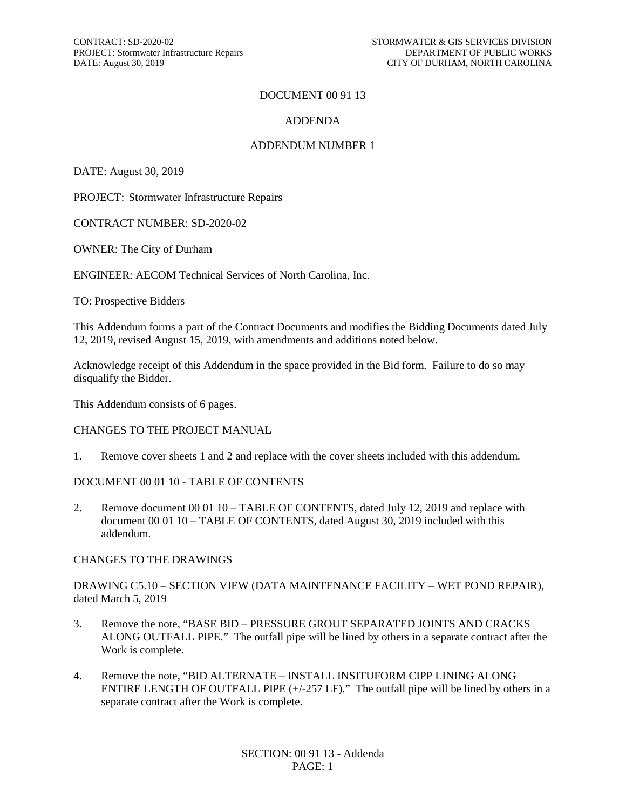#### DOCUMENT 00 91 13

#### ADDENDA

#### ADDENDUM NUMBER 1

DATE: August 30, 2019

PROJECT: Stormwater Infrastructure Repairs

CONTRACT NUMBER: SD-2020-02

OWNER: The City of Durham

ENGINEER: AECOM Technical Services of North Carolina, Inc.

TO: Prospective Bidders

This Addendum forms a part of the Contract Documents and modifies the Bidding Documents dated July 12, 2019, revised August 15, 2019, with amendments and additions noted below.

Acknowledge receipt of this Addendum in the space provided in the Bid form. Failure to do so may disqualify the Bidder.

This Addendum consists of 6 pages.

#### CHANGES TO THE PROJECT MANUAL

1. Remove cover sheets 1 and 2 and replace with the cover sheets included with this addendum.

#### DOCUMENT 00 01 10 - TABLE OF CONTENTS

2. Remove document 00 01 10 – TABLE OF CONTENTS, dated July 12, 2019 and replace with document 00 01 10 – TABLE OF CONTENTS, dated August 30, 2019 included with this addendum.

#### CHANGES TO THE DRAWINGS

#### DRAWING C5.10 – SECTION VIEW (DATA MAINTENANCE FACILITY – WET POND REPAIR), dated March 5, 2019

- 3. Remove the note, "BASE BID PRESSURE GROUT SEPARATED JOINTS AND CRACKS ALONG OUTFALL PIPE." The outfall pipe will be lined by others in a separate contract after the Work is complete.
- 4. Remove the note, "BID ALTERNATE INSTALL INSITUFORM CIPP LINING ALONG ENTIRE LENGTH OF OUTFALL PIPE (+/-257 LF)." The outfall pipe will be lined by others in a separate contract after the Work is complete.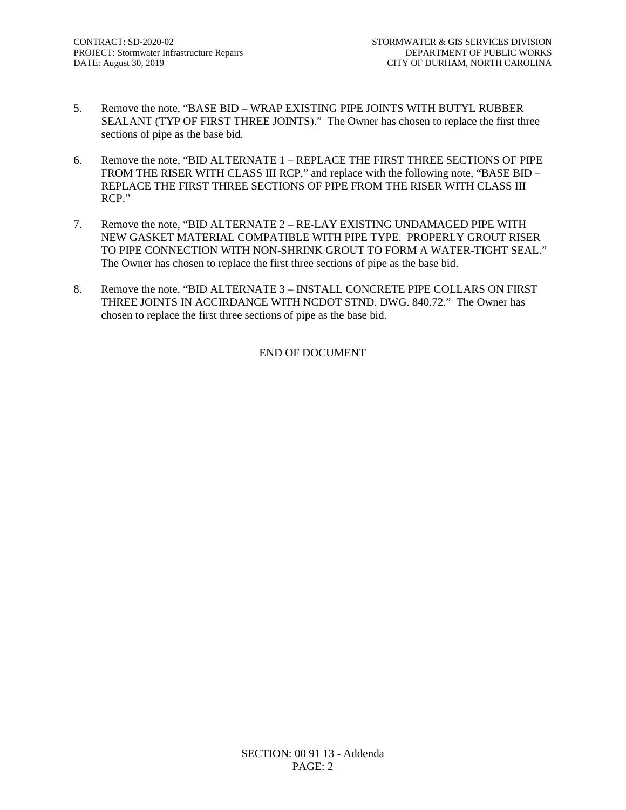- 5. Remove the note, "BASE BID WRAP EXISTING PIPE JOINTS WITH BUTYL RUBBER SEALANT (TYP OF FIRST THREE JOINTS)." The Owner has chosen to replace the first three sections of pipe as the base bid.
- 6. Remove the note, "BID ALTERNATE 1 REPLACE THE FIRST THREE SECTIONS OF PIPE FROM THE RISER WITH CLASS III RCP," and replace with the following note, "BASE BID – REPLACE THE FIRST THREE SECTIONS OF PIPE FROM THE RISER WITH CLASS III RCP."
- 7. Remove the note, "BID ALTERNATE 2 RE-LAY EXISTING UNDAMAGED PIPE WITH NEW GASKET MATERIAL COMPATIBLE WITH PIPE TYPE. PROPERLY GROUT RISER TO PIPE CONNECTION WITH NON-SHRINK GROUT TO FORM A WATER-TIGHT SEAL." The Owner has chosen to replace the first three sections of pipe as the base bid.
- 8. Remove the note, "BID ALTERNATE 3 INSTALL CONCRETE PIPE COLLARS ON FIRST THREE JOINTS IN ACCIRDANCE WITH NCDOT STND. DWG. 840.72." The Owner has chosen to replace the first three sections of pipe as the base bid.

#### END OF DOCUMENT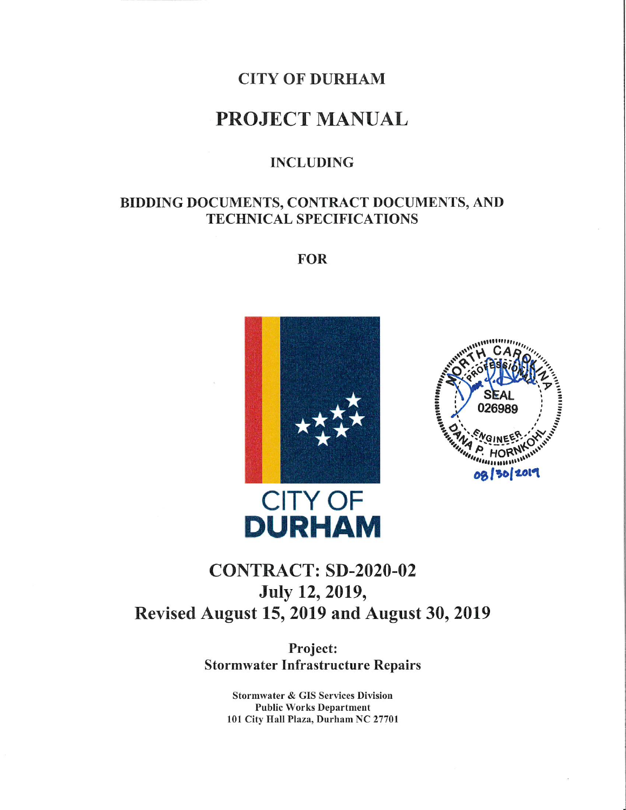

### **PROJECT MANUAL**

### **INCLUDING**

### BIDDING DOCUMENTS, CONTRACT DOCUMENTS, AND **TECHNICAL SPECIFICATIONS**

**FOR** 





# **DURHAM CONTRACT: SD-2020-02** July 12, 2019,

Revised August 15, 2019 and August 30, 2019

Project: **Stormwater Infrastructure Repairs** 

> **Stormwater & GIS Services Division Public Works Department** 101 City Hall Plaza, Durham NC 27701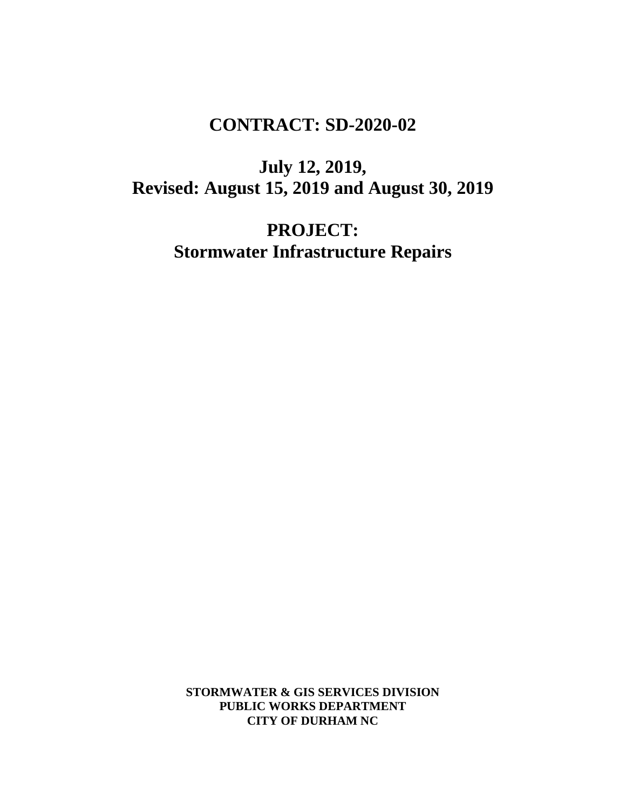## **CONTRACT: SD-2020-02**

**July 12, 2019, Revised: August 15, 2019 and August 30, 2019**

> **PROJECT: Stormwater Infrastructure Repairs**

**STORMWATER & GIS SERVICES DIVISION PUBLIC WORKS DEPARTMENT CITY OF DURHAM NC**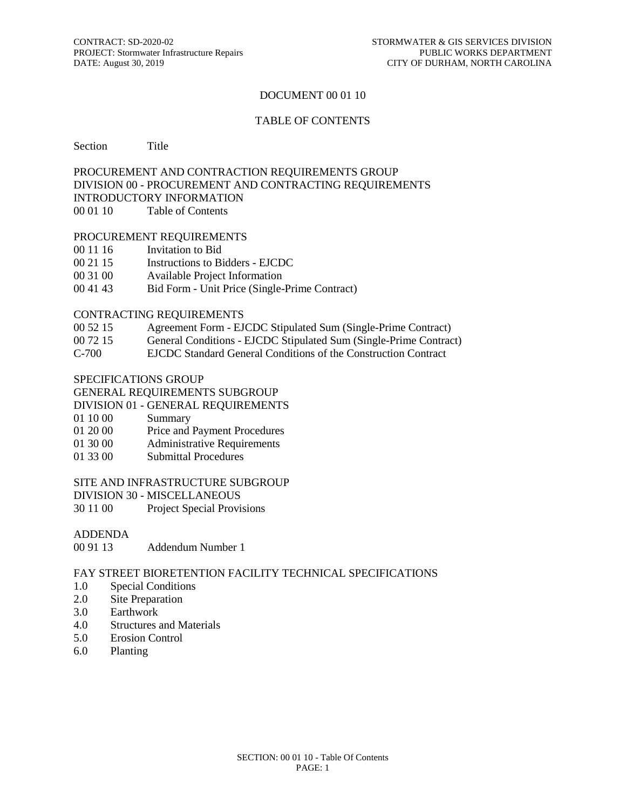#### DOCUMENT 00 01 10

#### TABLE OF CONTENTS

Section Title

#### PROCUREMENT AND CONTRACTION REQUIREMENTS GROUP DIVISION 00 - PROCUREMENT AND CONTRACTING REQUIREMENTS INTRODUCTORY INFORMATION 00 01 10 Table of Contents

#### PROCUREMENT REQUIREMENTS

- 00 11 16 Invitation to Bid
- 00 21 15 Instructions to Bidders EJCDC
- 00 31 00 Available Project Information
- 00 41 43 Bid Form Unit Price (Single-Prime Contract)

#### CONTRACTING REQUIREMENTS

- 00 52 15 Agreement Form EJCDC Stipulated Sum (Single-Prime Contract)
- 00 72 15 General Conditions EJCDC Stipulated Sum (Single-Prime Contract)
- C-700 EJCDC Standard General Conditions of the Construction Contract

#### SPECIFICATIONS GROUP

#### GENERAL REQUIREMENTS SUBGROUP

- DIVISION 01 GENERAL REQUIREMENTS
- 01 10 00 Summary
- 01 20 00 Price and Payment Procedures
- 01 30 00 Administrative Requirements
- 01 33 00 Submittal Procedures

#### SITE AND INFRASTRUCTURE SUBGROUP

- DIVISION 30 MISCELLANEOUS
- 30 11 00 Project Special Provisions

# ADDENDA<br>00 91 13

Addendum Number 1

#### FAY STREET BIORETENTION FACILITY TECHNICAL SPECIFICATIONS

- 1.0 Special Conditions
- 2.0 Site Preparation
- 3.0 Earthwork
- 4.0 Structures and Materials
- 5.0 Erosion Control
- 6.0 Planting